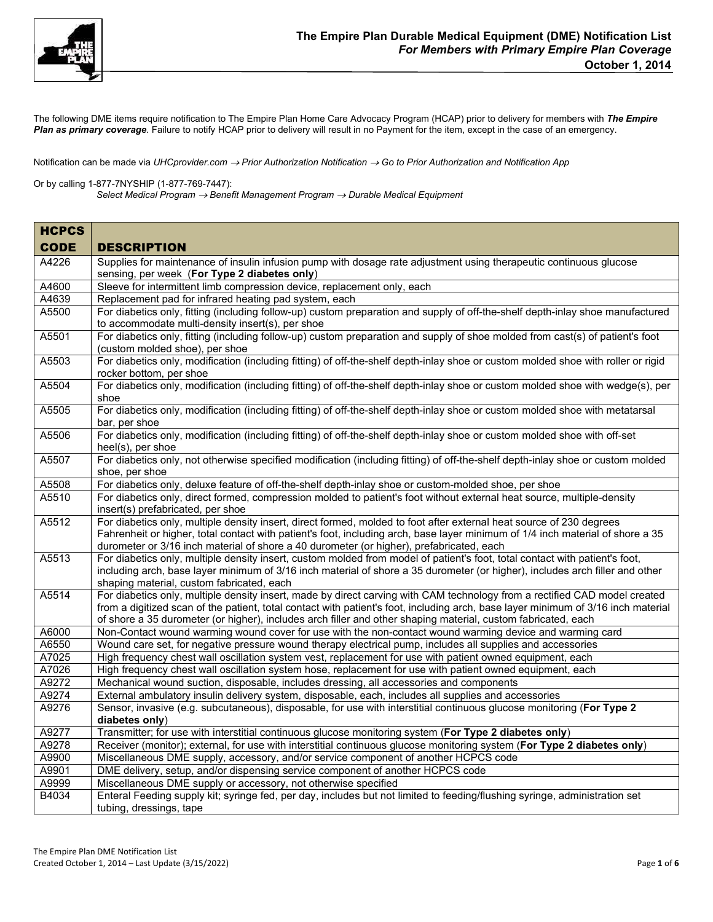

The following DME items require notification to The Empire Plan Home Care Advocacy Program (HCAP) prior to delivery for members with *The Empire Plan as primary coverage*. Failure to notify HCAP prior to delivery will result in no Payment for the item, except in the case of an emergency.

Notification can be made via UHCprovider.com → Prior Authorization Notification → Go to Prior Authorization and Notification App

Or by calling 1-877-7NYSHIP (1-877-769-7447):

*Select Medical Program Benefit Management Program Durable Medical Equipment* 

| <b>HCPCS</b> |                                                                                                                                                                                                                                                                                                                                                                                  |
|--------------|----------------------------------------------------------------------------------------------------------------------------------------------------------------------------------------------------------------------------------------------------------------------------------------------------------------------------------------------------------------------------------|
| <b>CODE</b>  | <b>DESCRIPTION</b>                                                                                                                                                                                                                                                                                                                                                               |
| A4226        | Supplies for maintenance of insulin infusion pump with dosage rate adjustment using therapeutic continuous glucose<br>sensing, per week (For Type 2 diabetes only)                                                                                                                                                                                                               |
| A4600        | Sleeve for intermittent limb compression device, replacement only, each                                                                                                                                                                                                                                                                                                          |
| A4639        | Replacement pad for infrared heating pad system, each                                                                                                                                                                                                                                                                                                                            |
| A5500        | For diabetics only, fitting (including follow-up) custom preparation and supply of off-the-shelf depth-inlay shoe manufactured<br>to accommodate multi-density insert(s), per shoe                                                                                                                                                                                               |
| A5501        | For diabetics only, fitting (including follow-up) custom preparation and supply of shoe molded from cast(s) of patient's foot<br>(custom molded shoe), per shoe                                                                                                                                                                                                                  |
| A5503        | For diabetics only, modification (including fitting) of off-the-shelf depth-inlay shoe or custom molded shoe with roller or rigid<br>rocker bottom, per shoe                                                                                                                                                                                                                     |
| A5504        | For diabetics only, modification (including fitting) of off-the-shelf depth-inlay shoe or custom molded shoe with wedge(s), per<br>shoe                                                                                                                                                                                                                                          |
| A5505        | For diabetics only, modification (including fitting) of off-the-shelf depth-inlay shoe or custom molded shoe with metatarsal<br>bar, per shoe                                                                                                                                                                                                                                    |
| A5506        | For diabetics only, modification (including fitting) of off-the-shelf depth-inlay shoe or custom molded shoe with off-set<br>heel(s), per shoe                                                                                                                                                                                                                                   |
| A5507        | For diabetics only, not otherwise specified modification (including fitting) of off-the-shelf depth-inlay shoe or custom molded<br>shoe, per shoe                                                                                                                                                                                                                                |
| A5508        | For diabetics only, deluxe feature of off-the-shelf depth-inlay shoe or custom-molded shoe, per shoe                                                                                                                                                                                                                                                                             |
| A5510        | For diabetics only, direct formed, compression molded to patient's foot without external heat source, multiple-density<br>insert(s) prefabricated, per shoe                                                                                                                                                                                                                      |
| A5512        | For diabetics only, multiple density insert, direct formed, molded to foot after external heat source of 230 degrees<br>Fahrenheit or higher, total contact with patient's foot, including arch, base layer minimum of 1/4 inch material of shore a 35<br>durometer or 3/16 inch material of shore a 40 durometer (or higher), prefabricated, each                               |
| A5513        | For diabetics only, multiple density insert, custom molded from model of patient's foot, total contact with patient's foot,<br>including arch, base layer minimum of 3/16 inch material of shore a 35 durometer (or higher), includes arch filler and other<br>shaping material, custom fabricated, each                                                                         |
| A5514        | For diabetics only, multiple density insert, made by direct carving with CAM technology from a rectified CAD model created<br>from a digitized scan of the patient, total contact with patient's foot, including arch, base layer minimum of 3/16 inch material<br>of shore a 35 durometer (or higher), includes arch filler and other shaping material, custom fabricated, each |
| A6000        | Non-Contact wound warming wound cover for use with the non-contact wound warming device and warming card                                                                                                                                                                                                                                                                         |
| A6550        | Wound care set, for negative pressure wound therapy electrical pump, includes all supplies and accessories                                                                                                                                                                                                                                                                       |
| A7025        | High frequency chest wall oscillation system vest, replacement for use with patient owned equipment, each                                                                                                                                                                                                                                                                        |
| A7026        | High frequency chest wall oscillation system hose, replacement for use with patient owned equipment, each                                                                                                                                                                                                                                                                        |
| A9272        | Mechanical wound suction, disposable, includes dressing, all accessories and components                                                                                                                                                                                                                                                                                          |
| A9274        | External ambulatory insulin delivery system, disposable, each, includes all supplies and accessories                                                                                                                                                                                                                                                                             |
| A9276        | Sensor, invasive (e.g. subcutaneous), disposable, for use with interstitial continuous glucose monitoring (For Type 2<br>diabetes only)                                                                                                                                                                                                                                          |
| A9277        | Transmitter; for use with interstitial continuous glucose monitoring system (For Type 2 diabetes only)                                                                                                                                                                                                                                                                           |
| A9278        | Receiver (monitor); external, for use with interstitial continuous glucose monitoring system (For Type 2 diabetes only)                                                                                                                                                                                                                                                          |
| A9900        | Miscellaneous DME supply, accessory, and/or service component of another HCPCS code                                                                                                                                                                                                                                                                                              |
| A9901        | DME delivery, setup, and/or dispensing service component of another HCPCS code                                                                                                                                                                                                                                                                                                   |
| A9999        | Miscellaneous DME supply or accessory, not otherwise specified                                                                                                                                                                                                                                                                                                                   |
| B4034        | Enteral Feeding supply kit; syringe fed, per day, includes but not limited to feeding/flushing syringe, administration set<br>tubing, dressings, tape                                                                                                                                                                                                                            |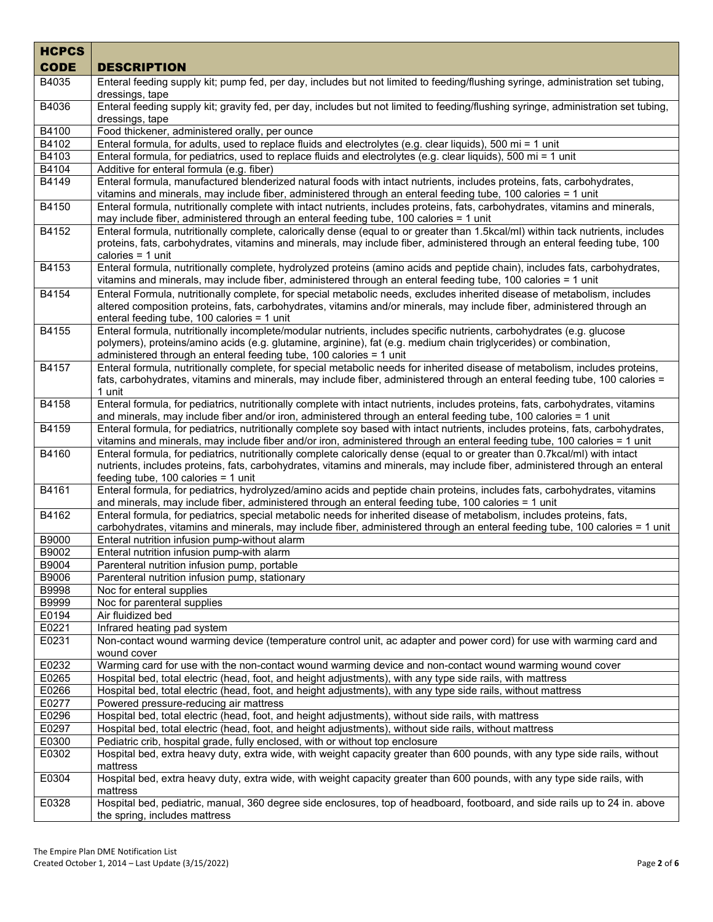| <b>CODE</b><br><b>DESCRIPTION</b><br>Enteral feeding supply kit; pump fed, per day, includes but not limited to feeding/flushing syringe, administration set tubing,<br>B4035<br>dressings, tape<br>B4036<br>Enteral feeding supply kit; gravity fed, per day, includes but not limited to feeding/flushing syringe, administration set tubing,<br>dressings, tape<br>B4100<br>Food thickener, administered orally, per ounce<br>Enteral formula, for adults, used to replace fluids and electrolytes (e.g. clear liquids), 500 mi = 1 unit<br>B4102<br>B4103<br>Enteral formula, for pediatrics, used to replace fluids and electrolytes (e.g. clear liquids), 500 mi = 1 unit<br>B4104<br>Additive for enteral formula (e.g. fiber)<br>B4149<br>Enteral formula, manufactured blenderized natural foods with intact nutrients, includes proteins, fats, carbohydrates,<br>vitamins and minerals, may include fiber, administered through an enteral feeding tube, 100 calories = 1 unit<br>B4150<br>Enteral formula, nutritionally complete with intact nutrients, includes proteins, fats, carbohydrates, vitamins and minerals,<br>may include fiber, administered through an enteral feeding tube, 100 calories = 1 unit<br>B4152<br>Enteral formula, nutritionally complete, calorically dense (equal to or greater than 1.5kcal/ml) within tack nutrients, includes<br>proteins, fats, carbohydrates, vitamins and minerals, may include fiber, administered through an enteral feeding tube, 100<br>calories $= 1$ unit<br>B4153<br>Enteral formula, nutritionally complete, hydrolyzed proteins (amino acids and peptide chain), includes fats, carbohydrates,<br>vitamins and minerals, may include fiber, administered through an enteral feeding tube, 100 calories = 1 unit<br>Enteral Formula, nutritionally complete, for special metabolic needs, excludes inherited disease of metabolism, includes<br>B4154<br>altered composition proteins, fats, carbohydrates, vitamins and/or minerals, may include fiber, administered through an<br>enteral feeding tube, 100 calories = 1 unit<br>B4155<br>Enteral formula, nutritionally incomplete/modular nutrients, includes specific nutrients, carbohydrates (e.g. glucose<br>polymers), proteins/amino acids (e.g. glutamine, arginine), fat (e.g. medium chain triglycerides) or combination,<br>administered through an enteral feeding tube, 100 calories = 1 unit<br>Enteral formula, nutritionally complete, for special metabolic needs for inherited disease of metabolism, includes proteins,<br>B4157<br>fats, carbohydrates, vitamins and minerals, may include fiber, administered through an enteral feeding tube, 100 calories =<br>1 unit<br>B4158<br>Enteral formula, for pediatrics, nutritionally complete with intact nutrients, includes proteins, fats, carbohydrates, vitamins<br>and minerals, may include fiber and/or iron, administered through an enteral feeding tube, 100 calories = 1 unit<br>B4159<br>Enteral formula, for pediatrics, nutritionally complete soy based with intact nutrients, includes proteins, fats, carbohydrates,<br>vitamins and minerals, may include fiber and/or iron, administered through an enteral feeding tube, 100 calories = 1 unit<br>B4160<br>Enteral formula, for pediatrics, nutritionally complete calorically dense (equal to or greater than 0.7kcal/ml) with intact<br>nutrients, includes proteins, fats, carbohydrates, vitamins and minerals, may include fiber, administered through an enteral<br>feeding tube, 100 calories $=$ 1 unit<br>Enteral formula, for pediatrics, hydrolyzed/amino acids and peptide chain proteins, includes fats, carbohydrates, vitamins<br>B4161<br>and minerals, may include fiber, administered through an enteral feeding tube, 100 calories = 1 unit<br>B4162<br>Enteral formula, for pediatrics, special metabolic needs for inherited disease of metabolism, includes proteins, fats,<br>carbohydrates, vitamins and minerals, may include fiber, administered through an enteral feeding tube, 100 calories = 1 unit<br>B9000<br>Enteral nutrition infusion pump-without alarm<br>B9002<br>Enteral nutrition infusion pump-with alarm<br>B9004<br>Parenteral nutrition infusion pump, portable<br>B9006<br>Parenteral nutrition infusion pump, stationary<br>B9998<br>Noc for enteral supplies<br>B9999<br>Noc for parenteral supplies<br>E0194<br>Air fluidized bed<br>E0221<br>Infrared heating pad system<br>E0231<br>Non-contact wound warming device (temperature control unit, ac adapter and power cord) for use with warming card and<br>wound cover<br>E0232<br>Warming card for use with the non-contact wound warming device and non-contact wound warming wound cover<br>E0265<br>Hospital bed, total electric (head, foot, and height adjustments), with any type side rails, with mattress<br>E0266<br>Hospital bed, total electric (head, foot, and height adjustments), with any type side rails, without mattress<br>E0277<br>Powered pressure-reducing air mattress<br>E0296<br>Hospital bed, total electric (head, foot, and height adjustments), without side rails, with mattress<br>E0297<br>Hospital bed, total electric (head, foot, and height adjustments), without side rails, without mattress<br>E0300<br>Pediatric crib, hospital grade, fully enclosed, with or without top enclosure<br>E0302<br>Hospital bed, extra heavy duty, extra wide, with weight capacity greater than 600 pounds, with any type side rails, without<br>mattress<br>E0304<br>Hospital bed, extra heavy duty, extra wide, with weight capacity greater than 600 pounds, with any type side rails, with<br>mattress<br>Hospital bed, pediatric, manual, 360 degree side enclosures, top of headboard, footboard, and side rails up to 24 in. above<br>E0328 | <b>HCPCS</b> |                               |
|---------------------------------------------------------------------------------------------------------------------------------------------------------------------------------------------------------------------------------------------------------------------------------------------------------------------------------------------------------------------------------------------------------------------------------------------------------------------------------------------------------------------------------------------------------------------------------------------------------------------------------------------------------------------------------------------------------------------------------------------------------------------------------------------------------------------------------------------------------------------------------------------------------------------------------------------------------------------------------------------------------------------------------------------------------------------------------------------------------------------------------------------------------------------------------------------------------------------------------------------------------------------------------------------------------------------------------------------------------------------------------------------------------------------------------------------------------------------------------------------------------------------------------------------------------------------------------------------------------------------------------------------------------------------------------------------------------------------------------------------------------------------------------------------------------------------------------------------------------------------------------------------------------------------------------------------------------------------------------------------------------------------------------------------------------------------------------------------------------------------------------------------------------------------------------------------------------------------------------------------------------------------------------------------------------------------------------------------------------------------------------------------------------------------------------------------------------------------------------------------------------------------------------------------------------------------------------------------------------------------------------------------------------------------------------------------------------------------------------------------------------------------------------------------------------------------------------------------------------------------------------------------------------------------------------------------------------------------------------------------------------------------------------------------------------------------------------------------------------------------------------------------------------------------------------------------------------------------------------------------------------------------------------------------------------------------------------------------------------------------------------------------------------------------------------------------------------------------------------------------------------------------------------------------------------------------------------------------------------------------------------------------------------------------------------------------------------------------------------------------------------------------------------------------------------------------------------------------------------------------------------------------------------------------------------------------------------------------------------------------------------------------------------------------------------------------------------------------------------------------------------------------------------------------------------------------------------------------------------------------------------------------------------------------------------------------------------------------------------------------------------------------------------------------------------------------------------------------------------------------------------------------------------------------------------------------------------------------------------------------------------------------------------------------------------------------------------------------------------------------------------------------------------------------------------------------------------------------------------------------------------------------------------------------------------------------------------------------------------------------------------------------------------------------------------------------------------------------------------------------------------------------------------------------------------------------------------------------------------------------------------------------------------------------------------------------------------------------------------------------------------------------------------------------------------------------------------------------------------------------------------------------------------------------------------------------------------------------------------------------------------------------------------------------------------------------------------------------------------------------------------------------------------------------------------------------------------------------------|--------------|-------------------------------|
|                                                                                                                                                                                                                                                                                                                                                                                                                                                                                                                                                                                                                                                                                                                                                                                                                                                                                                                                                                                                                                                                                                                                                                                                                                                                                                                                                                                                                                                                                                                                                                                                                                                                                                                                                                                                                                                                                                                                                                                                                                                                                                                                                                                                                                                                                                                                                                                                                                                                                                                                                                                                                                                                                                                                                                                                                                                                                                                                                                                                                                                                                                                                                                                                                                                                                                                                                                                                                                                                                                                                                                                                                                                                                                                                                                                                                                                                                                                                                                                                                                                                                                                                                                                                                                                                                                                                                                                                                                                                                                                                                                                                                                                                                                                                                                                                                                                                                                                                                                                                                                                                                                                                                                                                                                                                                                                                                                                                                                                                                                                                                                                                                                                                                                                                                                                                                                                   |              |                               |
|                                                                                                                                                                                                                                                                                                                                                                                                                                                                                                                                                                                                                                                                                                                                                                                                                                                                                                                                                                                                                                                                                                                                                                                                                                                                                                                                                                                                                                                                                                                                                                                                                                                                                                                                                                                                                                                                                                                                                                                                                                                                                                                                                                                                                                                                                                                                                                                                                                                                                                                                                                                                                                                                                                                                                                                                                                                                                                                                                                                                                                                                                                                                                                                                                                                                                                                                                                                                                                                                                                                                                                                                                                                                                                                                                                                                                                                                                                                                                                                                                                                                                                                                                                                                                                                                                                                                                                                                                                                                                                                                                                                                                                                                                                                                                                                                                                                                                                                                                                                                                                                                                                                                                                                                                                                                                                                                                                                                                                                                                                                                                                                                                                                                                                                                                                                                                                                   |              |                               |
|                                                                                                                                                                                                                                                                                                                                                                                                                                                                                                                                                                                                                                                                                                                                                                                                                                                                                                                                                                                                                                                                                                                                                                                                                                                                                                                                                                                                                                                                                                                                                                                                                                                                                                                                                                                                                                                                                                                                                                                                                                                                                                                                                                                                                                                                                                                                                                                                                                                                                                                                                                                                                                                                                                                                                                                                                                                                                                                                                                                                                                                                                                                                                                                                                                                                                                                                                                                                                                                                                                                                                                                                                                                                                                                                                                                                                                                                                                                                                                                                                                                                                                                                                                                                                                                                                                                                                                                                                                                                                                                                                                                                                                                                                                                                                                                                                                                                                                                                                                                                                                                                                                                                                                                                                                                                                                                                                                                                                                                                                                                                                                                                                                                                                                                                                                                                                                                   |              |                               |
|                                                                                                                                                                                                                                                                                                                                                                                                                                                                                                                                                                                                                                                                                                                                                                                                                                                                                                                                                                                                                                                                                                                                                                                                                                                                                                                                                                                                                                                                                                                                                                                                                                                                                                                                                                                                                                                                                                                                                                                                                                                                                                                                                                                                                                                                                                                                                                                                                                                                                                                                                                                                                                                                                                                                                                                                                                                                                                                                                                                                                                                                                                                                                                                                                                                                                                                                                                                                                                                                                                                                                                                                                                                                                                                                                                                                                                                                                                                                                                                                                                                                                                                                                                                                                                                                                                                                                                                                                                                                                                                                                                                                                                                                                                                                                                                                                                                                                                                                                                                                                                                                                                                                                                                                                                                                                                                                                                                                                                                                                                                                                                                                                                                                                                                                                                                                                                                   |              |                               |
|                                                                                                                                                                                                                                                                                                                                                                                                                                                                                                                                                                                                                                                                                                                                                                                                                                                                                                                                                                                                                                                                                                                                                                                                                                                                                                                                                                                                                                                                                                                                                                                                                                                                                                                                                                                                                                                                                                                                                                                                                                                                                                                                                                                                                                                                                                                                                                                                                                                                                                                                                                                                                                                                                                                                                                                                                                                                                                                                                                                                                                                                                                                                                                                                                                                                                                                                                                                                                                                                                                                                                                                                                                                                                                                                                                                                                                                                                                                                                                                                                                                                                                                                                                                                                                                                                                                                                                                                                                                                                                                                                                                                                                                                                                                                                                                                                                                                                                                                                                                                                                                                                                                                                                                                                                                                                                                                                                                                                                                                                                                                                                                                                                                                                                                                                                                                                                                   |              |                               |
|                                                                                                                                                                                                                                                                                                                                                                                                                                                                                                                                                                                                                                                                                                                                                                                                                                                                                                                                                                                                                                                                                                                                                                                                                                                                                                                                                                                                                                                                                                                                                                                                                                                                                                                                                                                                                                                                                                                                                                                                                                                                                                                                                                                                                                                                                                                                                                                                                                                                                                                                                                                                                                                                                                                                                                                                                                                                                                                                                                                                                                                                                                                                                                                                                                                                                                                                                                                                                                                                                                                                                                                                                                                                                                                                                                                                                                                                                                                                                                                                                                                                                                                                                                                                                                                                                                                                                                                                                                                                                                                                                                                                                                                                                                                                                                                                                                                                                                                                                                                                                                                                                                                                                                                                                                                                                                                                                                                                                                                                                                                                                                                                                                                                                                                                                                                                                                                   |              |                               |
|                                                                                                                                                                                                                                                                                                                                                                                                                                                                                                                                                                                                                                                                                                                                                                                                                                                                                                                                                                                                                                                                                                                                                                                                                                                                                                                                                                                                                                                                                                                                                                                                                                                                                                                                                                                                                                                                                                                                                                                                                                                                                                                                                                                                                                                                                                                                                                                                                                                                                                                                                                                                                                                                                                                                                                                                                                                                                                                                                                                                                                                                                                                                                                                                                                                                                                                                                                                                                                                                                                                                                                                                                                                                                                                                                                                                                                                                                                                                                                                                                                                                                                                                                                                                                                                                                                                                                                                                                                                                                                                                                                                                                                                                                                                                                                                                                                                                                                                                                                                                                                                                                                                                                                                                                                                                                                                                                                                                                                                                                                                                                                                                                                                                                                                                                                                                                                                   |              |                               |
|                                                                                                                                                                                                                                                                                                                                                                                                                                                                                                                                                                                                                                                                                                                                                                                                                                                                                                                                                                                                                                                                                                                                                                                                                                                                                                                                                                                                                                                                                                                                                                                                                                                                                                                                                                                                                                                                                                                                                                                                                                                                                                                                                                                                                                                                                                                                                                                                                                                                                                                                                                                                                                                                                                                                                                                                                                                                                                                                                                                                                                                                                                                                                                                                                                                                                                                                                                                                                                                                                                                                                                                                                                                                                                                                                                                                                                                                                                                                                                                                                                                                                                                                                                                                                                                                                                                                                                                                                                                                                                                                                                                                                                                                                                                                                                                                                                                                                                                                                                                                                                                                                                                                                                                                                                                                                                                                                                                                                                                                                                                                                                                                                                                                                                                                                                                                                                                   |              |                               |
|                                                                                                                                                                                                                                                                                                                                                                                                                                                                                                                                                                                                                                                                                                                                                                                                                                                                                                                                                                                                                                                                                                                                                                                                                                                                                                                                                                                                                                                                                                                                                                                                                                                                                                                                                                                                                                                                                                                                                                                                                                                                                                                                                                                                                                                                                                                                                                                                                                                                                                                                                                                                                                                                                                                                                                                                                                                                                                                                                                                                                                                                                                                                                                                                                                                                                                                                                                                                                                                                                                                                                                                                                                                                                                                                                                                                                                                                                                                                                                                                                                                                                                                                                                                                                                                                                                                                                                                                                                                                                                                                                                                                                                                                                                                                                                                                                                                                                                                                                                                                                                                                                                                                                                                                                                                                                                                                                                                                                                                                                                                                                                                                                                                                                                                                                                                                                                                   |              |                               |
|                                                                                                                                                                                                                                                                                                                                                                                                                                                                                                                                                                                                                                                                                                                                                                                                                                                                                                                                                                                                                                                                                                                                                                                                                                                                                                                                                                                                                                                                                                                                                                                                                                                                                                                                                                                                                                                                                                                                                                                                                                                                                                                                                                                                                                                                                                                                                                                                                                                                                                                                                                                                                                                                                                                                                                                                                                                                                                                                                                                                                                                                                                                                                                                                                                                                                                                                                                                                                                                                                                                                                                                                                                                                                                                                                                                                                                                                                                                                                                                                                                                                                                                                                                                                                                                                                                                                                                                                                                                                                                                                                                                                                                                                                                                                                                                                                                                                                                                                                                                                                                                                                                                                                                                                                                                                                                                                                                                                                                                                                                                                                                                                                                                                                                                                                                                                                                                   |              |                               |
|                                                                                                                                                                                                                                                                                                                                                                                                                                                                                                                                                                                                                                                                                                                                                                                                                                                                                                                                                                                                                                                                                                                                                                                                                                                                                                                                                                                                                                                                                                                                                                                                                                                                                                                                                                                                                                                                                                                                                                                                                                                                                                                                                                                                                                                                                                                                                                                                                                                                                                                                                                                                                                                                                                                                                                                                                                                                                                                                                                                                                                                                                                                                                                                                                                                                                                                                                                                                                                                                                                                                                                                                                                                                                                                                                                                                                                                                                                                                                                                                                                                                                                                                                                                                                                                                                                                                                                                                                                                                                                                                                                                                                                                                                                                                                                                                                                                                                                                                                                                                                                                                                                                                                                                                                                                                                                                                                                                                                                                                                                                                                                                                                                                                                                                                                                                                                                                   |              |                               |
|                                                                                                                                                                                                                                                                                                                                                                                                                                                                                                                                                                                                                                                                                                                                                                                                                                                                                                                                                                                                                                                                                                                                                                                                                                                                                                                                                                                                                                                                                                                                                                                                                                                                                                                                                                                                                                                                                                                                                                                                                                                                                                                                                                                                                                                                                                                                                                                                                                                                                                                                                                                                                                                                                                                                                                                                                                                                                                                                                                                                                                                                                                                                                                                                                                                                                                                                                                                                                                                                                                                                                                                                                                                                                                                                                                                                                                                                                                                                                                                                                                                                                                                                                                                                                                                                                                                                                                                                                                                                                                                                                                                                                                                                                                                                                                                                                                                                                                                                                                                                                                                                                                                                                                                                                                                                                                                                                                                                                                                                                                                                                                                                                                                                                                                                                                                                                                                   |              |                               |
|                                                                                                                                                                                                                                                                                                                                                                                                                                                                                                                                                                                                                                                                                                                                                                                                                                                                                                                                                                                                                                                                                                                                                                                                                                                                                                                                                                                                                                                                                                                                                                                                                                                                                                                                                                                                                                                                                                                                                                                                                                                                                                                                                                                                                                                                                                                                                                                                                                                                                                                                                                                                                                                                                                                                                                                                                                                                                                                                                                                                                                                                                                                                                                                                                                                                                                                                                                                                                                                                                                                                                                                                                                                                                                                                                                                                                                                                                                                                                                                                                                                                                                                                                                                                                                                                                                                                                                                                                                                                                                                                                                                                                                                                                                                                                                                                                                                                                                                                                                                                                                                                                                                                                                                                                                                                                                                                                                                                                                                                                                                                                                                                                                                                                                                                                                                                                                                   |              |                               |
|                                                                                                                                                                                                                                                                                                                                                                                                                                                                                                                                                                                                                                                                                                                                                                                                                                                                                                                                                                                                                                                                                                                                                                                                                                                                                                                                                                                                                                                                                                                                                                                                                                                                                                                                                                                                                                                                                                                                                                                                                                                                                                                                                                                                                                                                                                                                                                                                                                                                                                                                                                                                                                                                                                                                                                                                                                                                                                                                                                                                                                                                                                                                                                                                                                                                                                                                                                                                                                                                                                                                                                                                                                                                                                                                                                                                                                                                                                                                                                                                                                                                                                                                                                                                                                                                                                                                                                                                                                                                                                                                                                                                                                                                                                                                                                                                                                                                                                                                                                                                                                                                                                                                                                                                                                                                                                                                                                                                                                                                                                                                                                                                                                                                                                                                                                                                                                                   |              |                               |
|                                                                                                                                                                                                                                                                                                                                                                                                                                                                                                                                                                                                                                                                                                                                                                                                                                                                                                                                                                                                                                                                                                                                                                                                                                                                                                                                                                                                                                                                                                                                                                                                                                                                                                                                                                                                                                                                                                                                                                                                                                                                                                                                                                                                                                                                                                                                                                                                                                                                                                                                                                                                                                                                                                                                                                                                                                                                                                                                                                                                                                                                                                                                                                                                                                                                                                                                                                                                                                                                                                                                                                                                                                                                                                                                                                                                                                                                                                                                                                                                                                                                                                                                                                                                                                                                                                                                                                                                                                                                                                                                                                                                                                                                                                                                                                                                                                                                                                                                                                                                                                                                                                                                                                                                                                                                                                                                                                                                                                                                                                                                                                                                                                                                                                                                                                                                                                                   |              |                               |
|                                                                                                                                                                                                                                                                                                                                                                                                                                                                                                                                                                                                                                                                                                                                                                                                                                                                                                                                                                                                                                                                                                                                                                                                                                                                                                                                                                                                                                                                                                                                                                                                                                                                                                                                                                                                                                                                                                                                                                                                                                                                                                                                                                                                                                                                                                                                                                                                                                                                                                                                                                                                                                                                                                                                                                                                                                                                                                                                                                                                                                                                                                                                                                                                                                                                                                                                                                                                                                                                                                                                                                                                                                                                                                                                                                                                                                                                                                                                                                                                                                                                                                                                                                                                                                                                                                                                                                                                                                                                                                                                                                                                                                                                                                                                                                                                                                                                                                                                                                                                                                                                                                                                                                                                                                                                                                                                                                                                                                                                                                                                                                                                                                                                                                                                                                                                                                                   |              |                               |
|                                                                                                                                                                                                                                                                                                                                                                                                                                                                                                                                                                                                                                                                                                                                                                                                                                                                                                                                                                                                                                                                                                                                                                                                                                                                                                                                                                                                                                                                                                                                                                                                                                                                                                                                                                                                                                                                                                                                                                                                                                                                                                                                                                                                                                                                                                                                                                                                                                                                                                                                                                                                                                                                                                                                                                                                                                                                                                                                                                                                                                                                                                                                                                                                                                                                                                                                                                                                                                                                                                                                                                                                                                                                                                                                                                                                                                                                                                                                                                                                                                                                                                                                                                                                                                                                                                                                                                                                                                                                                                                                                                                                                                                                                                                                                                                                                                                                                                                                                                                                                                                                                                                                                                                                                                                                                                                                                                                                                                                                                                                                                                                                                                                                                                                                                                                                                                                   |              |                               |
|                                                                                                                                                                                                                                                                                                                                                                                                                                                                                                                                                                                                                                                                                                                                                                                                                                                                                                                                                                                                                                                                                                                                                                                                                                                                                                                                                                                                                                                                                                                                                                                                                                                                                                                                                                                                                                                                                                                                                                                                                                                                                                                                                                                                                                                                                                                                                                                                                                                                                                                                                                                                                                                                                                                                                                                                                                                                                                                                                                                                                                                                                                                                                                                                                                                                                                                                                                                                                                                                                                                                                                                                                                                                                                                                                                                                                                                                                                                                                                                                                                                                                                                                                                                                                                                                                                                                                                                                                                                                                                                                                                                                                                                                                                                                                                                                                                                                                                                                                                                                                                                                                                                                                                                                                                                                                                                                                                                                                                                                                                                                                                                                                                                                                                                                                                                                                                                   |              |                               |
|                                                                                                                                                                                                                                                                                                                                                                                                                                                                                                                                                                                                                                                                                                                                                                                                                                                                                                                                                                                                                                                                                                                                                                                                                                                                                                                                                                                                                                                                                                                                                                                                                                                                                                                                                                                                                                                                                                                                                                                                                                                                                                                                                                                                                                                                                                                                                                                                                                                                                                                                                                                                                                                                                                                                                                                                                                                                                                                                                                                                                                                                                                                                                                                                                                                                                                                                                                                                                                                                                                                                                                                                                                                                                                                                                                                                                                                                                                                                                                                                                                                                                                                                                                                                                                                                                                                                                                                                                                                                                                                                                                                                                                                                                                                                                                                                                                                                                                                                                                                                                                                                                                                                                                                                                                                                                                                                                                                                                                                                                                                                                                                                                                                                                                                                                                                                                                                   |              |                               |
|                                                                                                                                                                                                                                                                                                                                                                                                                                                                                                                                                                                                                                                                                                                                                                                                                                                                                                                                                                                                                                                                                                                                                                                                                                                                                                                                                                                                                                                                                                                                                                                                                                                                                                                                                                                                                                                                                                                                                                                                                                                                                                                                                                                                                                                                                                                                                                                                                                                                                                                                                                                                                                                                                                                                                                                                                                                                                                                                                                                                                                                                                                                                                                                                                                                                                                                                                                                                                                                                                                                                                                                                                                                                                                                                                                                                                                                                                                                                                                                                                                                                                                                                                                                                                                                                                                                                                                                                                                                                                                                                                                                                                                                                                                                                                                                                                                                                                                                                                                                                                                                                                                                                                                                                                                                                                                                                                                                                                                                                                                                                                                                                                                                                                                                                                                                                                                                   |              |                               |
|                                                                                                                                                                                                                                                                                                                                                                                                                                                                                                                                                                                                                                                                                                                                                                                                                                                                                                                                                                                                                                                                                                                                                                                                                                                                                                                                                                                                                                                                                                                                                                                                                                                                                                                                                                                                                                                                                                                                                                                                                                                                                                                                                                                                                                                                                                                                                                                                                                                                                                                                                                                                                                                                                                                                                                                                                                                                                                                                                                                                                                                                                                                                                                                                                                                                                                                                                                                                                                                                                                                                                                                                                                                                                                                                                                                                                                                                                                                                                                                                                                                                                                                                                                                                                                                                                                                                                                                                                                                                                                                                                                                                                                                                                                                                                                                                                                                                                                                                                                                                                                                                                                                                                                                                                                                                                                                                                                                                                                                                                                                                                                                                                                                                                                                                                                                                                                                   |              |                               |
|                                                                                                                                                                                                                                                                                                                                                                                                                                                                                                                                                                                                                                                                                                                                                                                                                                                                                                                                                                                                                                                                                                                                                                                                                                                                                                                                                                                                                                                                                                                                                                                                                                                                                                                                                                                                                                                                                                                                                                                                                                                                                                                                                                                                                                                                                                                                                                                                                                                                                                                                                                                                                                                                                                                                                                                                                                                                                                                                                                                                                                                                                                                                                                                                                                                                                                                                                                                                                                                                                                                                                                                                                                                                                                                                                                                                                                                                                                                                                                                                                                                                                                                                                                                                                                                                                                                                                                                                                                                                                                                                                                                                                                                                                                                                                                                                                                                                                                                                                                                                                                                                                                                                                                                                                                                                                                                                                                                                                                                                                                                                                                                                                                                                                                                                                                                                                                                   |              |                               |
|                                                                                                                                                                                                                                                                                                                                                                                                                                                                                                                                                                                                                                                                                                                                                                                                                                                                                                                                                                                                                                                                                                                                                                                                                                                                                                                                                                                                                                                                                                                                                                                                                                                                                                                                                                                                                                                                                                                                                                                                                                                                                                                                                                                                                                                                                                                                                                                                                                                                                                                                                                                                                                                                                                                                                                                                                                                                                                                                                                                                                                                                                                                                                                                                                                                                                                                                                                                                                                                                                                                                                                                                                                                                                                                                                                                                                                                                                                                                                                                                                                                                                                                                                                                                                                                                                                                                                                                                                                                                                                                                                                                                                                                                                                                                                                                                                                                                                                                                                                                                                                                                                                                                                                                                                                                                                                                                                                                                                                                                                                                                                                                                                                                                                                                                                                                                                                                   |              |                               |
|                                                                                                                                                                                                                                                                                                                                                                                                                                                                                                                                                                                                                                                                                                                                                                                                                                                                                                                                                                                                                                                                                                                                                                                                                                                                                                                                                                                                                                                                                                                                                                                                                                                                                                                                                                                                                                                                                                                                                                                                                                                                                                                                                                                                                                                                                                                                                                                                                                                                                                                                                                                                                                                                                                                                                                                                                                                                                                                                                                                                                                                                                                                                                                                                                                                                                                                                                                                                                                                                                                                                                                                                                                                                                                                                                                                                                                                                                                                                                                                                                                                                                                                                                                                                                                                                                                                                                                                                                                                                                                                                                                                                                                                                                                                                                                                                                                                                                                                                                                                                                                                                                                                                                                                                                                                                                                                                                                                                                                                                                                                                                                                                                                                                                                                                                                                                                                                   |              |                               |
|                                                                                                                                                                                                                                                                                                                                                                                                                                                                                                                                                                                                                                                                                                                                                                                                                                                                                                                                                                                                                                                                                                                                                                                                                                                                                                                                                                                                                                                                                                                                                                                                                                                                                                                                                                                                                                                                                                                                                                                                                                                                                                                                                                                                                                                                                                                                                                                                                                                                                                                                                                                                                                                                                                                                                                                                                                                                                                                                                                                                                                                                                                                                                                                                                                                                                                                                                                                                                                                                                                                                                                                                                                                                                                                                                                                                                                                                                                                                                                                                                                                                                                                                                                                                                                                                                                                                                                                                                                                                                                                                                                                                                                                                                                                                                                                                                                                                                                                                                                                                                                                                                                                                                                                                                                                                                                                                                                                                                                                                                                                                                                                                                                                                                                                                                                                                                                                   |              |                               |
|                                                                                                                                                                                                                                                                                                                                                                                                                                                                                                                                                                                                                                                                                                                                                                                                                                                                                                                                                                                                                                                                                                                                                                                                                                                                                                                                                                                                                                                                                                                                                                                                                                                                                                                                                                                                                                                                                                                                                                                                                                                                                                                                                                                                                                                                                                                                                                                                                                                                                                                                                                                                                                                                                                                                                                                                                                                                                                                                                                                                                                                                                                                                                                                                                                                                                                                                                                                                                                                                                                                                                                                                                                                                                                                                                                                                                                                                                                                                                                                                                                                                                                                                                                                                                                                                                                                                                                                                                                                                                                                                                                                                                                                                                                                                                                                                                                                                                                                                                                                                                                                                                                                                                                                                                                                                                                                                                                                                                                                                                                                                                                                                                                                                                                                                                                                                                                                   |              |                               |
|                                                                                                                                                                                                                                                                                                                                                                                                                                                                                                                                                                                                                                                                                                                                                                                                                                                                                                                                                                                                                                                                                                                                                                                                                                                                                                                                                                                                                                                                                                                                                                                                                                                                                                                                                                                                                                                                                                                                                                                                                                                                                                                                                                                                                                                                                                                                                                                                                                                                                                                                                                                                                                                                                                                                                                                                                                                                                                                                                                                                                                                                                                                                                                                                                                                                                                                                                                                                                                                                                                                                                                                                                                                                                                                                                                                                                                                                                                                                                                                                                                                                                                                                                                                                                                                                                                                                                                                                                                                                                                                                                                                                                                                                                                                                                                                                                                                                                                                                                                                                                                                                                                                                                                                                                                                                                                                                                                                                                                                                                                                                                                                                                                                                                                                                                                                                                                                   |              |                               |
|                                                                                                                                                                                                                                                                                                                                                                                                                                                                                                                                                                                                                                                                                                                                                                                                                                                                                                                                                                                                                                                                                                                                                                                                                                                                                                                                                                                                                                                                                                                                                                                                                                                                                                                                                                                                                                                                                                                                                                                                                                                                                                                                                                                                                                                                                                                                                                                                                                                                                                                                                                                                                                                                                                                                                                                                                                                                                                                                                                                                                                                                                                                                                                                                                                                                                                                                                                                                                                                                                                                                                                                                                                                                                                                                                                                                                                                                                                                                                                                                                                                                                                                                                                                                                                                                                                                                                                                                                                                                                                                                                                                                                                                                                                                                                                                                                                                                                                                                                                                                                                                                                                                                                                                                                                                                                                                                                                                                                                                                                                                                                                                                                                                                                                                                                                                                                                                   |              |                               |
|                                                                                                                                                                                                                                                                                                                                                                                                                                                                                                                                                                                                                                                                                                                                                                                                                                                                                                                                                                                                                                                                                                                                                                                                                                                                                                                                                                                                                                                                                                                                                                                                                                                                                                                                                                                                                                                                                                                                                                                                                                                                                                                                                                                                                                                                                                                                                                                                                                                                                                                                                                                                                                                                                                                                                                                                                                                                                                                                                                                                                                                                                                                                                                                                                                                                                                                                                                                                                                                                                                                                                                                                                                                                                                                                                                                                                                                                                                                                                                                                                                                                                                                                                                                                                                                                                                                                                                                                                                                                                                                                                                                                                                                                                                                                                                                                                                                                                                                                                                                                                                                                                                                                                                                                                                                                                                                                                                                                                                                                                                                                                                                                                                                                                                                                                                                                                                                   |              |                               |
|                                                                                                                                                                                                                                                                                                                                                                                                                                                                                                                                                                                                                                                                                                                                                                                                                                                                                                                                                                                                                                                                                                                                                                                                                                                                                                                                                                                                                                                                                                                                                                                                                                                                                                                                                                                                                                                                                                                                                                                                                                                                                                                                                                                                                                                                                                                                                                                                                                                                                                                                                                                                                                                                                                                                                                                                                                                                                                                                                                                                                                                                                                                                                                                                                                                                                                                                                                                                                                                                                                                                                                                                                                                                                                                                                                                                                                                                                                                                                                                                                                                                                                                                                                                                                                                                                                                                                                                                                                                                                                                                                                                                                                                                                                                                                                                                                                                                                                                                                                                                                                                                                                                                                                                                                                                                                                                                                                                                                                                                                                                                                                                                                                                                                                                                                                                                                                                   |              |                               |
|                                                                                                                                                                                                                                                                                                                                                                                                                                                                                                                                                                                                                                                                                                                                                                                                                                                                                                                                                                                                                                                                                                                                                                                                                                                                                                                                                                                                                                                                                                                                                                                                                                                                                                                                                                                                                                                                                                                                                                                                                                                                                                                                                                                                                                                                                                                                                                                                                                                                                                                                                                                                                                                                                                                                                                                                                                                                                                                                                                                                                                                                                                                                                                                                                                                                                                                                                                                                                                                                                                                                                                                                                                                                                                                                                                                                                                                                                                                                                                                                                                                                                                                                                                                                                                                                                                                                                                                                                                                                                                                                                                                                                                                                                                                                                                                                                                                                                                                                                                                                                                                                                                                                                                                                                                                                                                                                                                                                                                                                                                                                                                                                                                                                                                                                                                                                                                                   |              |                               |
|                                                                                                                                                                                                                                                                                                                                                                                                                                                                                                                                                                                                                                                                                                                                                                                                                                                                                                                                                                                                                                                                                                                                                                                                                                                                                                                                                                                                                                                                                                                                                                                                                                                                                                                                                                                                                                                                                                                                                                                                                                                                                                                                                                                                                                                                                                                                                                                                                                                                                                                                                                                                                                                                                                                                                                                                                                                                                                                                                                                                                                                                                                                                                                                                                                                                                                                                                                                                                                                                                                                                                                                                                                                                                                                                                                                                                                                                                                                                                                                                                                                                                                                                                                                                                                                                                                                                                                                                                                                                                                                                                                                                                                                                                                                                                                                                                                                                                                                                                                                                                                                                                                                                                                                                                                                                                                                                                                                                                                                                                                                                                                                                                                                                                                                                                                                                                                                   |              |                               |
|                                                                                                                                                                                                                                                                                                                                                                                                                                                                                                                                                                                                                                                                                                                                                                                                                                                                                                                                                                                                                                                                                                                                                                                                                                                                                                                                                                                                                                                                                                                                                                                                                                                                                                                                                                                                                                                                                                                                                                                                                                                                                                                                                                                                                                                                                                                                                                                                                                                                                                                                                                                                                                                                                                                                                                                                                                                                                                                                                                                                                                                                                                                                                                                                                                                                                                                                                                                                                                                                                                                                                                                                                                                                                                                                                                                                                                                                                                                                                                                                                                                                                                                                                                                                                                                                                                                                                                                                                                                                                                                                                                                                                                                                                                                                                                                                                                                                                                                                                                                                                                                                                                                                                                                                                                                                                                                                                                                                                                                                                                                                                                                                                                                                                                                                                                                                                                                   |              |                               |
|                                                                                                                                                                                                                                                                                                                                                                                                                                                                                                                                                                                                                                                                                                                                                                                                                                                                                                                                                                                                                                                                                                                                                                                                                                                                                                                                                                                                                                                                                                                                                                                                                                                                                                                                                                                                                                                                                                                                                                                                                                                                                                                                                                                                                                                                                                                                                                                                                                                                                                                                                                                                                                                                                                                                                                                                                                                                                                                                                                                                                                                                                                                                                                                                                                                                                                                                                                                                                                                                                                                                                                                                                                                                                                                                                                                                                                                                                                                                                                                                                                                                                                                                                                                                                                                                                                                                                                                                                                                                                                                                                                                                                                                                                                                                                                                                                                                                                                                                                                                                                                                                                                                                                                                                                                                                                                                                                                                                                                                                                                                                                                                                                                                                                                                                                                                                                                                   |              |                               |
|                                                                                                                                                                                                                                                                                                                                                                                                                                                                                                                                                                                                                                                                                                                                                                                                                                                                                                                                                                                                                                                                                                                                                                                                                                                                                                                                                                                                                                                                                                                                                                                                                                                                                                                                                                                                                                                                                                                                                                                                                                                                                                                                                                                                                                                                                                                                                                                                                                                                                                                                                                                                                                                                                                                                                                                                                                                                                                                                                                                                                                                                                                                                                                                                                                                                                                                                                                                                                                                                                                                                                                                                                                                                                                                                                                                                                                                                                                                                                                                                                                                                                                                                                                                                                                                                                                                                                                                                                                                                                                                                                                                                                                                                                                                                                                                                                                                                                                                                                                                                                                                                                                                                                                                                                                                                                                                                                                                                                                                                                                                                                                                                                                                                                                                                                                                                                                                   |              |                               |
|                                                                                                                                                                                                                                                                                                                                                                                                                                                                                                                                                                                                                                                                                                                                                                                                                                                                                                                                                                                                                                                                                                                                                                                                                                                                                                                                                                                                                                                                                                                                                                                                                                                                                                                                                                                                                                                                                                                                                                                                                                                                                                                                                                                                                                                                                                                                                                                                                                                                                                                                                                                                                                                                                                                                                                                                                                                                                                                                                                                                                                                                                                                                                                                                                                                                                                                                                                                                                                                                                                                                                                                                                                                                                                                                                                                                                                                                                                                                                                                                                                                                                                                                                                                                                                                                                                                                                                                                                                                                                                                                                                                                                                                                                                                                                                                                                                                                                                                                                                                                                                                                                                                                                                                                                                                                                                                                                                                                                                                                                                                                                                                                                                                                                                                                                                                                                                                   |              |                               |
|                                                                                                                                                                                                                                                                                                                                                                                                                                                                                                                                                                                                                                                                                                                                                                                                                                                                                                                                                                                                                                                                                                                                                                                                                                                                                                                                                                                                                                                                                                                                                                                                                                                                                                                                                                                                                                                                                                                                                                                                                                                                                                                                                                                                                                                                                                                                                                                                                                                                                                                                                                                                                                                                                                                                                                                                                                                                                                                                                                                                                                                                                                                                                                                                                                                                                                                                                                                                                                                                                                                                                                                                                                                                                                                                                                                                                                                                                                                                                                                                                                                                                                                                                                                                                                                                                                                                                                                                                                                                                                                                                                                                                                                                                                                                                                                                                                                                                                                                                                                                                                                                                                                                                                                                                                                                                                                                                                                                                                                                                                                                                                                                                                                                                                                                                                                                                                                   |              |                               |
|                                                                                                                                                                                                                                                                                                                                                                                                                                                                                                                                                                                                                                                                                                                                                                                                                                                                                                                                                                                                                                                                                                                                                                                                                                                                                                                                                                                                                                                                                                                                                                                                                                                                                                                                                                                                                                                                                                                                                                                                                                                                                                                                                                                                                                                                                                                                                                                                                                                                                                                                                                                                                                                                                                                                                                                                                                                                                                                                                                                                                                                                                                                                                                                                                                                                                                                                                                                                                                                                                                                                                                                                                                                                                                                                                                                                                                                                                                                                                                                                                                                                                                                                                                                                                                                                                                                                                                                                                                                                                                                                                                                                                                                                                                                                                                                                                                                                                                                                                                                                                                                                                                                                                                                                                                                                                                                                                                                                                                                                                                                                                                                                                                                                                                                                                                                                                                                   |              | the spring, includes mattress |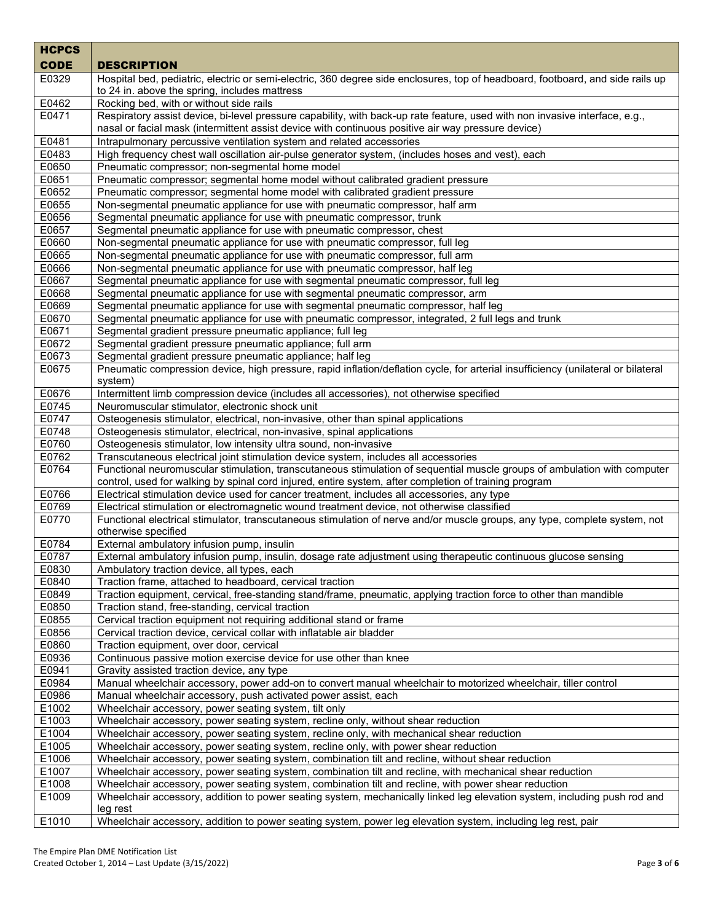| <b>HCPCS</b>      |                                                                                                                                                                                                                                   |
|-------------------|-----------------------------------------------------------------------------------------------------------------------------------------------------------------------------------------------------------------------------------|
| <b>CODE</b>       | <b>DESCRIPTION</b>                                                                                                                                                                                                                |
| E0329             | Hospital bed, pediatric, electric or semi-electric, 360 degree side enclosures, top of headboard, footboard, and side rails up<br>to 24 in. above the spring, includes mattress                                                   |
| E0462             | Rocking bed, with or without side rails                                                                                                                                                                                           |
| E0471             | Respiratory assist device, bi-level pressure capability, with back-up rate feature, used with non invasive interface, e.g.,<br>nasal or facial mask (intermittent assist device with continuous positive air way pressure device) |
| E0481             | Intrapulmonary percussive ventilation system and related accessories                                                                                                                                                              |
| E0483             | High frequency chest wall oscillation air-pulse generator system, (includes hoses and vest), each                                                                                                                                 |
| E0650             | Pneumatic compressor; non-segmental home model                                                                                                                                                                                    |
| E0651             | Pneumatic compressor; segmental home model without calibrated gradient pressure                                                                                                                                                   |
| E0652             | Pneumatic compressor; segmental home model with calibrated gradient pressure                                                                                                                                                      |
| E0655             | Non-segmental pneumatic appliance for use with pneumatic compressor, half arm                                                                                                                                                     |
| E0656             | Segmental pneumatic appliance for use with pneumatic compressor, trunk                                                                                                                                                            |
| E0657             | Segmental pneumatic appliance for use with pneumatic compressor, chest                                                                                                                                                            |
| E0660             | Non-segmental pneumatic appliance for use with pneumatic compressor, full leg                                                                                                                                                     |
| E0665             | Non-segmental pneumatic appliance for use with pneumatic compressor, full arm                                                                                                                                                     |
| E0666             | Non-segmental pneumatic appliance for use with pneumatic compressor, half leg                                                                                                                                                     |
| E0667             | Segmental pneumatic appliance for use with segmental pneumatic compressor, full leg                                                                                                                                               |
| E0668             | Segmental pneumatic appliance for use with segmental pneumatic compressor, arm                                                                                                                                                    |
| E0669<br>E0670    | Segmental pneumatic appliance for use with segmental pneumatic compressor, half leg<br>Segmental pneumatic appliance for use with pneumatic compressor, integrated, 2 full legs and trunk                                         |
| E0671             | Segmental gradient pressure pneumatic appliance; full leg                                                                                                                                                                         |
| E0672             | Segmental gradient pressure pneumatic appliance; full arm                                                                                                                                                                         |
| E0673             | Segmental gradient pressure pneumatic appliance; half leg                                                                                                                                                                         |
| E0675             | Pneumatic compression device, high pressure, rapid inflation/deflation cycle, for arterial insufficiency (unilateral or bilateral                                                                                                 |
|                   | system)                                                                                                                                                                                                                           |
| E0676             | Intermittent limb compression device (includes all accessories), not otherwise specified                                                                                                                                          |
| E0745             | Neuromuscular stimulator, electronic shock unit                                                                                                                                                                                   |
| E0747             | Osteogenesis stimulator, electrical, non-invasive, other than spinal applications                                                                                                                                                 |
| E0748             | Osteogenesis stimulator, electrical, non-invasive, spinal applications                                                                                                                                                            |
| E0760             | Osteogenesis stimulator, low intensity ultra sound, non-invasive                                                                                                                                                                  |
| E0762             | Transcutaneous electrical joint stimulation device system, includes all accessories                                                                                                                                               |
| E0764             | Functional neuromuscular stimulation, transcutaneous stimulation of sequential muscle groups of ambulation with computer<br>control, used for walking by spinal cord injured, entire system, after completion of training program |
| E0766             | Electrical stimulation device used for cancer treatment, includes all accessories, any type                                                                                                                                       |
| E0769             | Electrical stimulation or electromagnetic wound treatment device, not otherwise classified                                                                                                                                        |
| E0770             | Functional electrical stimulator, transcutaneous stimulation of nerve and/or muscle groups, any type, complete system, not<br>otherwise specified                                                                                 |
| E0784             | External ambulatory infusion pump, insulin                                                                                                                                                                                        |
| E0787             | External ambulatory infusion pump, insulin, dosage rate adjustment using therapeutic continuous glucose sensing                                                                                                                   |
| E0830             | Ambulatory traction device, all types, each                                                                                                                                                                                       |
| E0840             | Traction frame, attached to headboard, cervical traction                                                                                                                                                                          |
| E0849             | Traction equipment, cervical, free-standing stand/frame, pneumatic, applying traction force to other than mandible                                                                                                                |
| E0850<br>E0855    | Traction stand, free-standing, cervical traction<br>Cervical traction equipment not requiring additional stand or frame                                                                                                           |
| E0856             | Cervical traction device, cervical collar with inflatable air bladder                                                                                                                                                             |
| E0860             | Traction equipment, over door, cervical                                                                                                                                                                                           |
| E0936             | Continuous passive motion exercise device for use other than knee                                                                                                                                                                 |
| E0941             | Gravity assisted traction device, any type                                                                                                                                                                                        |
| E0984             | Manual wheelchair accessory, power add-on to convert manual wheelchair to motorized wheelchair, tiller control                                                                                                                    |
| E0986             | Manual wheelchair accessory, push activated power assist, each                                                                                                                                                                    |
| E1002             | Wheelchair accessory, power seating system, tilt only                                                                                                                                                                             |
| E1003             | Wheelchair accessory, power seating system, recline only, without shear reduction                                                                                                                                                 |
| E1004             | Wheelchair accessory, power seating system, recline only, with mechanical shear reduction                                                                                                                                         |
| E1005             | Wheelchair accessory, power seating system, recline only, with power shear reduction                                                                                                                                              |
| E <sub>1006</sub> | Wheelchair accessory, power seating system, combination tilt and recline, without shear reduction                                                                                                                                 |
| E1007             | Wheelchair accessory, power seating system, combination tilt and recline, with mechanical shear reduction                                                                                                                         |
| E1008             | Wheelchair accessory, power seating system, combination tilt and recline, with power shear reduction                                                                                                                              |
| E1009             | Wheelchair accessory, addition to power seating system, mechanically linked leg elevation system, including push rod and<br>leg rest                                                                                              |
| E1010             | Wheelchair accessory, addition to power seating system, power leg elevation system, including leg rest, pair                                                                                                                      |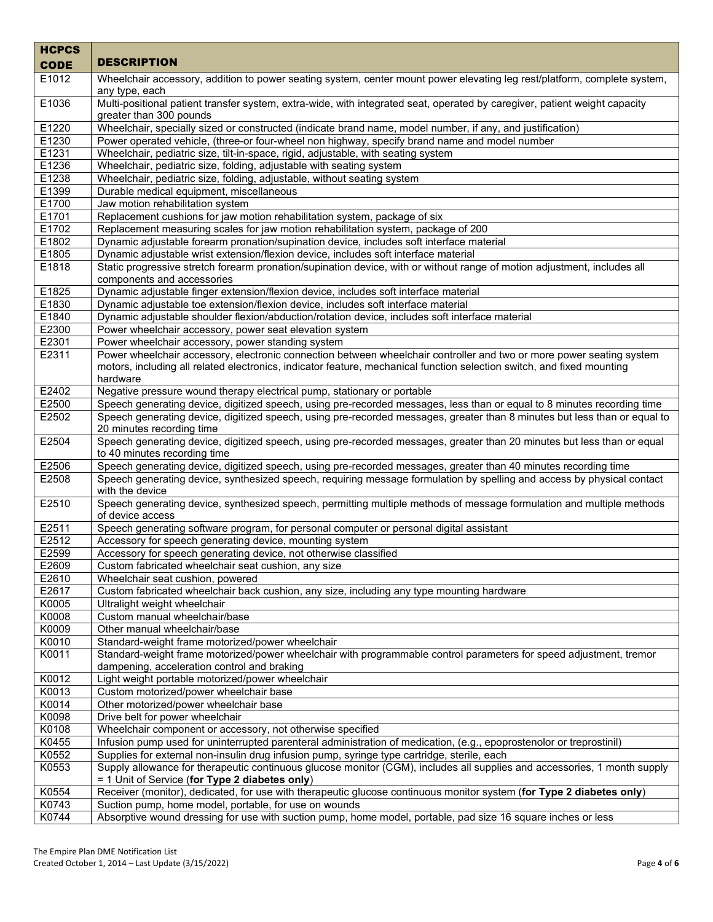| <b>HCPCS</b>   |                                                                                                                                                                                                                     |
|----------------|---------------------------------------------------------------------------------------------------------------------------------------------------------------------------------------------------------------------|
| <b>CODE</b>    | <b>DESCRIPTION</b>                                                                                                                                                                                                  |
| E1012          | Wheelchair accessory, addition to power seating system, center mount power elevating leg rest/platform, complete system,                                                                                            |
|                | any type, each                                                                                                                                                                                                      |
| E1036          | Multi-positional patient transfer system, extra-wide, with integrated seat, operated by caregiver, patient weight capacity                                                                                          |
| E1220          | greater than 300 pounds                                                                                                                                                                                             |
| E1230          | Wheelchair, specially sized or constructed (indicate brand name, model number, if any, and justification)<br>Power operated vehicle, (three-or four-wheel non highway, specify brand name and model number          |
| E1231          | Wheelchair, pediatric size, tilt-in-space, rigid, adjustable, with seating system                                                                                                                                   |
| E1236          | Wheelchair, pediatric size, folding, adjustable with seating system                                                                                                                                                 |
| E1238          | Wheelchair, pediatric size, folding, adjustable, without seating system                                                                                                                                             |
| E1399          | Durable medical equipment, miscellaneous                                                                                                                                                                            |
| E1700          | Jaw motion rehabilitation system                                                                                                                                                                                    |
| E1701          | Replacement cushions for jaw motion rehabilitation system, package of six                                                                                                                                           |
| E1702          | Replacement measuring scales for jaw motion rehabilitation system, package of 200                                                                                                                                   |
| E1802          | Dynamic adjustable forearm pronation/supination device, includes soft interface material                                                                                                                            |
| E1805<br>E1818 | Dynamic adjustable wrist extension/flexion device, includes soft interface material<br>Static progressive stretch forearm pronation/supination device, with or without range of motion adjustment, includes all     |
|                | components and accessories                                                                                                                                                                                          |
| E1825          | Dynamic adjustable finger extension/flexion device, includes soft interface material                                                                                                                                |
| E1830          | Dynamic adjustable toe extension/flexion device, includes soft interface material                                                                                                                                   |
| E1840          | Dynamic adjustable shoulder flexion/abduction/rotation device, includes soft interface material                                                                                                                     |
| E2300          | Power wheelchair accessory, power seat elevation system                                                                                                                                                             |
| E2301          | Power wheelchair accessory, power standing system                                                                                                                                                                   |
| E2311          | Power wheelchair accessory, electronic connection between wheelchair controller and two or more power seating system                                                                                                |
|                | motors, including all related electronics, indicator feature, mechanical function selection switch, and fixed mounting<br>hardware                                                                                  |
| E2402          | Negative pressure wound therapy electrical pump, stationary or portable                                                                                                                                             |
| E2500          | Speech generating device, digitized speech, using pre-recorded messages, less than or equal to 8 minutes recording time                                                                                             |
| E2502          | Speech generating device, digitized speech, using pre-recorded messages, greater than 8 minutes but less than or equal to                                                                                           |
|                | 20 minutes recording time                                                                                                                                                                                           |
| E2504          | Speech generating device, digitized speech, using pre-recorded messages, greater than 20 minutes but less than or equal                                                                                             |
|                | to 40 minutes recording time                                                                                                                                                                                        |
| E2506<br>E2508 | Speech generating device, digitized speech, using pre-recorded messages, greater than 40 minutes recording time                                                                                                     |
|                | Speech generating device, synthesized speech, requiring message formulation by spelling and access by physical contact<br>with the device                                                                           |
| E2510          | Speech generating device, synthesized speech, permitting multiple methods of message formulation and multiple methods<br>of device access                                                                           |
| E2511          | Speech generating software program, for personal computer or personal digital assistant                                                                                                                             |
| E2512          | Accessory for speech generating device, mounting system                                                                                                                                                             |
| E2599          | Accessory for speech generating device, not otherwise classified                                                                                                                                                    |
| E2609          | Custom fabricated wheelchair seat cushion, any size                                                                                                                                                                 |
| E2610          | Wheelchair seat cushion, powered                                                                                                                                                                                    |
| E2617          | Custom fabricated wheelchair back cushion, any size, including any type mounting hardware                                                                                                                           |
| K0005          | Ultralight weight wheelchair                                                                                                                                                                                        |
| K0008<br>K0009 | Custom manual wheelchair/base<br>Other manual wheelchair/base                                                                                                                                                       |
| K0010          | Standard-weight frame motorized/power wheelchair                                                                                                                                                                    |
| K0011          | Standard-weight frame motorized/power wheelchair with programmable control parameters for speed adjustment, tremor                                                                                                  |
|                | dampening, acceleration control and braking                                                                                                                                                                         |
| K0012          | Light weight portable motorized/power wheelchair                                                                                                                                                                    |
| K0013          | Custom motorized/power wheelchair base                                                                                                                                                                              |
| K0014          | Other motorized/power wheelchair base                                                                                                                                                                               |
| K0098          | Drive belt for power wheelchair                                                                                                                                                                                     |
| K0108          | Wheelchair component or accessory, not otherwise specified                                                                                                                                                          |
| K0455<br>K0552 | Infusion pump used for uninterrupted parenteral administration of medication, (e.g., epoprostenolor or treprostinil)<br>Supplies for external non-insulin drug infusion pump, syringe type cartridge, sterile, each |
| K0553          | Supply allowance for therapeutic continuous glucose monitor (CGM), includes all supplies and accessories, 1 month supply                                                                                            |
|                | = 1 Unit of Service (for Type 2 diabetes only)                                                                                                                                                                      |
| K0554          | Receiver (monitor), dedicated, for use with therapeutic glucose continuous monitor system (for Type 2 diabetes only)                                                                                                |
| K0743          | Suction pump, home model, portable, for use on wounds                                                                                                                                                               |
| K0744          | Absorptive wound dressing for use with suction pump, home model, portable, pad size 16 square inches or less                                                                                                        |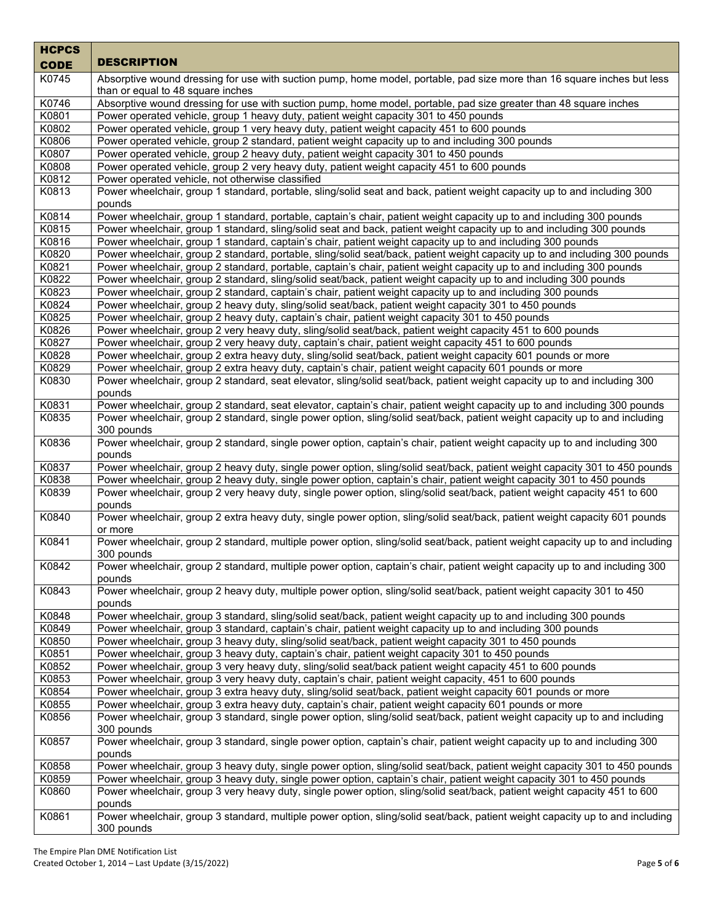| <b>HCPCS</b><br><b>CODE</b> | <b>DESCRIPTION</b>                                                                                                                                                                                                    |
|-----------------------------|-----------------------------------------------------------------------------------------------------------------------------------------------------------------------------------------------------------------------|
| K0745                       | Absorptive wound dressing for use with suction pump, home model, portable, pad size more than 16 square inches but less<br>than or equal to 48 square inches                                                          |
| K0746                       | Absorptive wound dressing for use with suction pump, home model, portable, pad size greater than 48 square inches                                                                                                     |
| K0801                       | Power operated vehicle, group 1 heavy duty, patient weight capacity 301 to 450 pounds                                                                                                                                 |
| K0802                       | Power operated vehicle, group 1 very heavy duty, patient weight capacity 451 to 600 pounds                                                                                                                            |
| K0806                       | Power operated vehicle, group 2 standard, patient weight capacity up to and including 300 pounds                                                                                                                      |
| K0807                       | Power operated vehicle, group 2 heavy duty, patient weight capacity 301 to 450 pounds                                                                                                                                 |
| K0808                       | Power operated vehicle, group 2 very heavy duty, patient weight capacity 451 to 600 pounds                                                                                                                            |
| K0812                       | Power operated vehicle, not otherwise classified                                                                                                                                                                      |
| K0813                       | Power wheelchair, group 1 standard, portable, sling/solid seat and back, patient weight capacity up to and including 300<br>pounds                                                                                    |
| K0814                       | Power wheelchair, group 1 standard, portable, captain's chair, patient weight capacity up to and including 300 pounds                                                                                                 |
| K0815                       | Power wheelchair, group 1 standard, sling/solid seat and back, patient weight capacity up to and including 300 pounds                                                                                                 |
| K0816                       | Power wheelchair, group 1 standard, captain's chair, patient weight capacity up to and including 300 pounds                                                                                                           |
| K0820                       | Power wheelchair, group 2 standard, portable, sling/solid seat/back, patient weight capacity up to and including 300 pounds                                                                                           |
| K0821                       | Power wheelchair, group 2 standard, portable, captain's chair, patient weight capacity up to and including 300 pounds                                                                                                 |
| K0822                       | Power wheelchair, group 2 standard, sling/solid seat/back, patient weight capacity up to and including 300 pounds                                                                                                     |
| K0823<br>K0824              | Power wheelchair, group 2 standard, captain's chair, patient weight capacity up to and including 300 pounds<br>Power wheelchair, group 2 heavy duty, sling/solid seat/back, patient weight capacity 301 to 450 pounds |
| K0825                       | Power wheelchair, group 2 heavy duty, captain's chair, patient weight capacity 301 to 450 pounds                                                                                                                      |
| K0826                       | Power wheelchair, group 2 very heavy duty, sling/solid seat/back, patient weight capacity 451 to 600 pounds                                                                                                           |
| K0827                       | Power wheelchair, group 2 very heavy duty, captain's chair, patient weight capacity 451 to 600 pounds                                                                                                                 |
| K0828                       | Power wheelchair, group 2 extra heavy duty, sling/solid seat/back, patient weight capacity 601 pounds or more                                                                                                         |
| K0829                       | Power wheelchair, group 2 extra heavy duty, captain's chair, patient weight capacity 601 pounds or more                                                                                                               |
| K0830                       | Power wheelchair, group 2 standard, seat elevator, sling/solid seat/back, patient weight capacity up to and including 300                                                                                             |
|                             | pounds                                                                                                                                                                                                                |
| K0831                       | Power wheelchair, group 2 standard, seat elevator, captain's chair, patient weight capacity up to and including 300 pounds                                                                                            |
| K0835                       | Power wheelchair, group 2 standard, single power option, sling/solid seat/back, patient weight capacity up to and including                                                                                           |
|                             | 300 pounds                                                                                                                                                                                                            |
| K0836                       | Power wheelchair, group 2 standard, single power option, captain's chair, patient weight capacity up to and including 300<br>pounds                                                                                   |
| K0837                       | Power wheelchair, group 2 heavy duty, single power option, sling/solid seat/back, patient weight capacity 301 to 450 pounds                                                                                           |
| K0838                       | Power wheelchair, group 2 heavy duty, single power option, captain's chair, patient weight capacity 301 to 450 pounds                                                                                                 |
| K0839                       | Power wheelchair, group 2 very heavy duty, single power option, sling/solid seat/back, patient weight capacity 451 to 600<br>pounds                                                                                   |
| K0840                       | Power wheelchair, group 2 extra heavy duty, single power option, sling/solid seat/back, patient weight capacity 601 pounds<br>or more                                                                                 |
| K0841                       | Power wheelchair, group 2 standard, multiple power option, sling/solid seat/back, patient weight capacity up to and including<br>300 pounds                                                                           |
| K0842                       | Power wheelchair, group 2 standard, multiple power option, captain's chair, patient weight capacity up to and including 300<br>pounds                                                                                 |
| K0843                       | Power wheelchair, group 2 heavy duty, multiple power option, sling/solid seat/back, patient weight capacity 301 to 450<br>pounds                                                                                      |
| K0848                       | Power wheelchair, group 3 standard, sling/solid seat/back, patient weight capacity up to and including 300 pounds                                                                                                     |
| K0849                       | Power wheelchair, group 3 standard, captain's chair, patient weight capacity up to and including 300 pounds                                                                                                           |
| K0850                       | Power wheelchair, group 3 heavy duty, sling/solid seat/back, patient weight capacity 301 to 450 pounds                                                                                                                |
| K0851                       | Power wheelchair, group 3 heavy duty, captain's chair, patient weight capacity 301 to 450 pounds                                                                                                                      |
| K0852                       | Power wheelchair, group 3 very heavy duty, sling/solid seat/back patient weight capacity 451 to 600 pounds                                                                                                            |
| K0853                       | Power wheelchair, group 3 very heavy duty, captain's chair, patient weight capacity, 451 to 600 pounds                                                                                                                |
| K0854                       | Power wheelchair, group 3 extra heavy duty, sling/solid seat/back, patient weight capacity 601 pounds or more                                                                                                         |
| K0855                       | Power wheelchair, group 3 extra heavy duty, captain's chair, patient weight capacity 601 pounds or more                                                                                                               |
| K0856                       | Power wheelchair, group 3 standard, single power option, sling/solid seat/back, patient weight capacity up to and including<br>300 pounds                                                                             |
| K0857                       | Power wheelchair, group 3 standard, single power option, captain's chair, patient weight capacity up to and including 300<br>pounds                                                                                   |
| K0858                       | Power wheelchair, group 3 heavy duty, single power option, sling/solid seat/back, patient weight capacity 301 to 450 pounds                                                                                           |
| K0859                       | Power wheelchair, group 3 heavy duty, single power option, captain's chair, patient weight capacity 301 to 450 pounds                                                                                                 |
| K0860                       | Power wheelchair, group 3 very heavy duty, single power option, sling/solid seat/back, patient weight capacity 451 to 600<br>pounds                                                                                   |
| K0861                       | Power wheelchair, group 3 standard, multiple power option, sling/solid seat/back, patient weight capacity up to and including<br>300 pounds                                                                           |